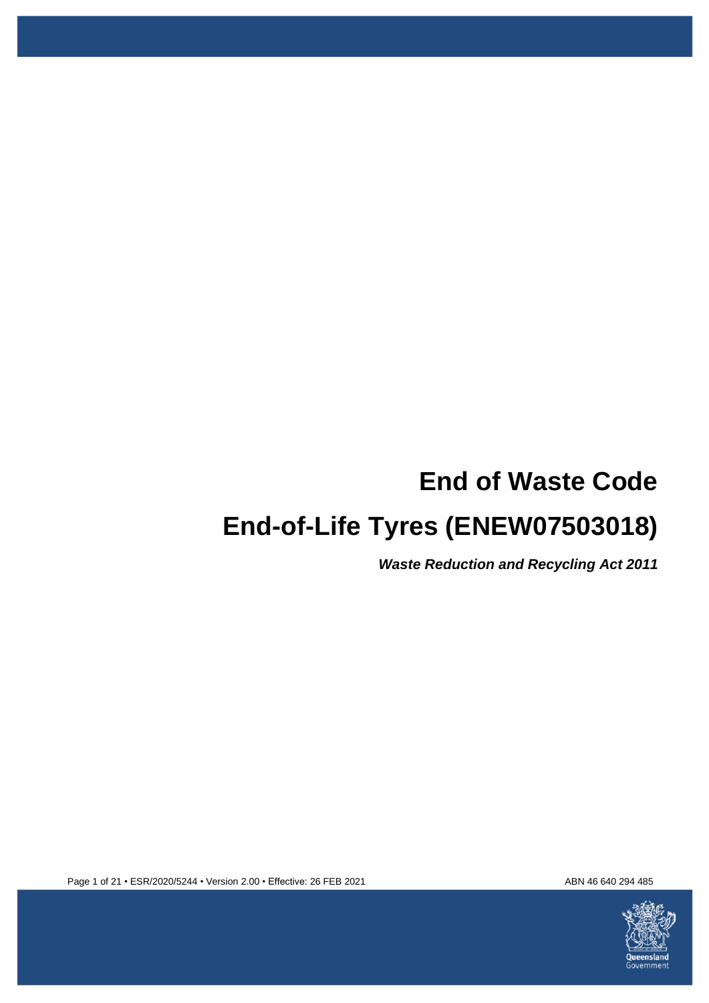# **End of Waste Code**

# **End-of-Life Tyres (ENEW07503018)**

*Waste Reduction and Recycling Act 2011*



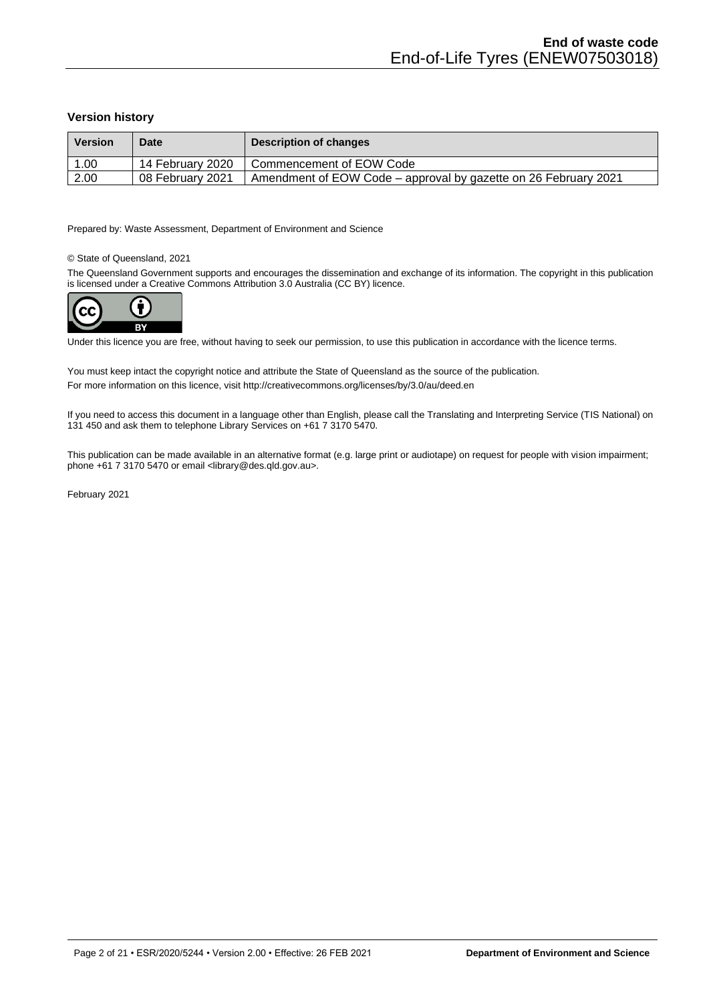### **Version history**

| <b>Version</b> | <b>Date</b>      | Description of changes                                          |
|----------------|------------------|-----------------------------------------------------------------|
| 1.00           | 14 February 2020 | Commencement of EOW Code                                        |
| 2.00           | 08 February 2021 | Amendment of EOW Code – approval by gazette on 26 February 2021 |

Prepared by: Waste Assessment, Department of Environment and Science

### © State of Queensland, 2021

The Queensland Government supports and encourages the dissemination and exchange of its information. The copyright in this publication is licensed under a Creative Commons Attribution 3.0 Australia (CC BY) licence.



Under this licence you are free, without having to seek our permission, to use this publication in accordance with the licence terms.

You must keep intact the copyright notice and attribute the State of Queensland as the source of the publication. For more information on this licence, visi[t http://creativecommons.org/licenses/by/3.0/au/deed.en](http://creativecommons.org/licenses/by/3.0/au/deed.en)

If you need to access this document in a language other than English, please call the Translating and Interpreting Service (TIS National) on 131 450 and ask them to telephone Library Services on +61 7 3170 5470.

This publication can be made available in an alternative format (e.g. large print or audiotape) on request for people with vision impairment; phone +61 7 3170 5470 or email <library@des.qld.gov.au>.

February 2021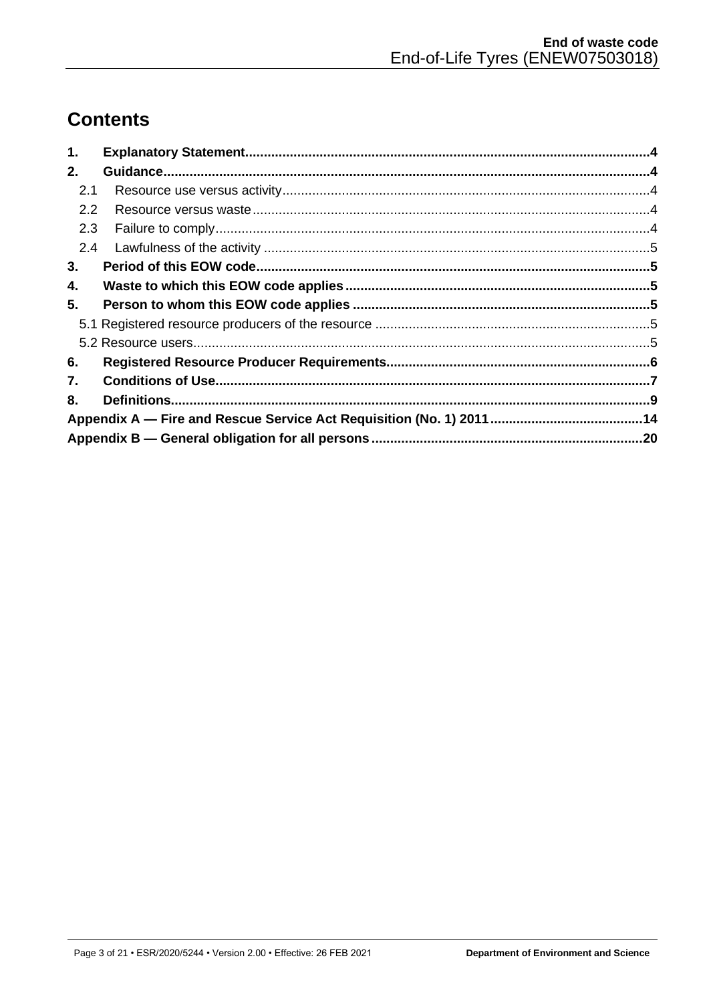# **Contents**

| 1.            |  |
|---------------|--|
| 2.            |  |
| 2.1           |  |
| $2.2^{\circ}$ |  |
| 2.3           |  |
| $2.4^{\circ}$ |  |
| 3.            |  |
| 4.            |  |
| 5.            |  |
|               |  |
|               |  |
| 6.            |  |
| 7.            |  |
| 8.            |  |
|               |  |
|               |  |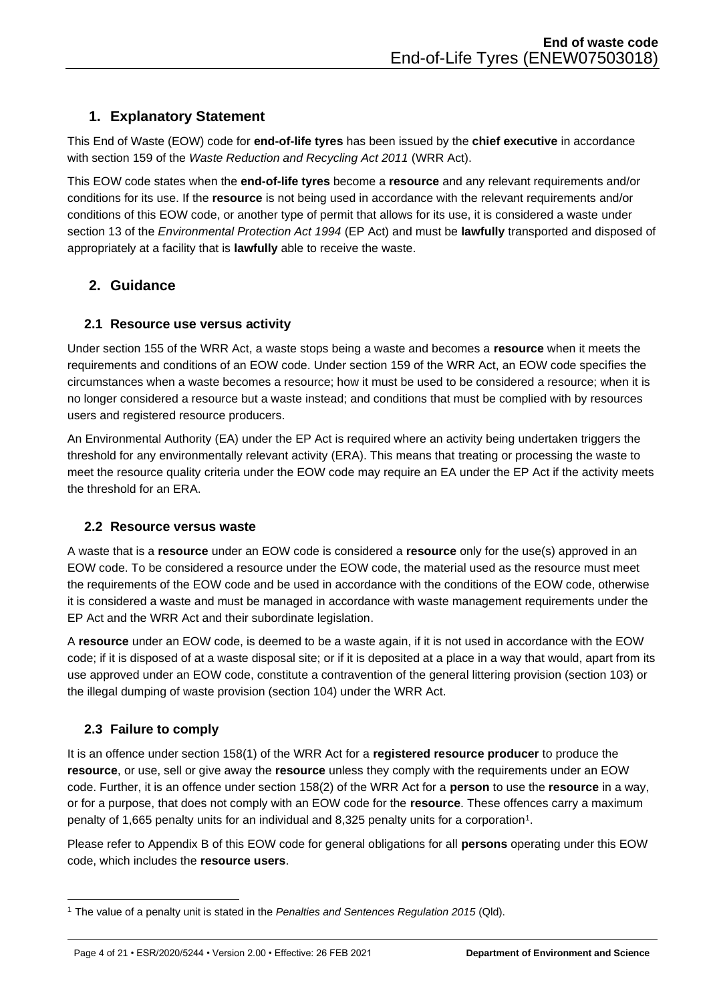# <span id="page-3-0"></span>**1. Explanatory Statement**

This End of Waste (EOW) code for **end-of-life tyres** has been issued by the **chief executive** in accordance with section 159 of the *Waste Reduction and Recycling Act 2011* (WRR Act).

This EOW code states when the **end-of-life tyres** become a **resource** and any relevant requirements and/or conditions for its use. If the **resource** is not being used in accordance with the relevant requirements and/or conditions of this EOW code, or another type of permit that allows for its use, it is considered a waste under section 13 of the *Environmental Protection Act 1994* (EP Act) and must be **lawfully** transported and disposed of appropriately at a facility that is **lawfully** able to receive the waste.

# <span id="page-3-1"></span>**2. Guidance**

# <span id="page-3-2"></span>**2.1 Resource use versus activity**

Under section 155 of the WRR Act, a waste stops being a waste and becomes a **resource** when it meets the requirements and conditions of an EOW code. Under section 159 of the WRR Act, an EOW code specifies the circumstances when a waste becomes a resource; how it must be used to be considered a resource; when it is no longer considered a resource but a waste instead; and conditions that must be complied with by resources users and registered resource producers.

An Environmental Authority (EA) under the EP Act is required where an activity being undertaken triggers the threshold for any environmentally relevant activity (ERA). This means that treating or processing the waste to meet the resource quality criteria under the EOW code may require an EA under the EP Act if the activity meets the threshold for an ERA.

# <span id="page-3-3"></span>**2.2 Resource versus waste**

A waste that is a **resource** under an EOW code is considered a **resource** only for the use(s) approved in an EOW code. To be considered a resource under the EOW code, the material used as the resource must meet the requirements of the EOW code and be used in accordance with the conditions of the EOW code, otherwise it is considered a waste and must be managed in accordance with waste management requirements under the EP Act and the WRR Act and their subordinate legislation.

A **resource** under an EOW code, is deemed to be a waste again, if it is not used in accordance with the EOW code; if it is disposed of at a waste disposal site; or if it is deposited at a place in a way that would, apart from its use approved under an EOW code, constitute a contravention of the general littering provision (section 103) or the illegal dumping of waste provision (section 104) under the WRR Act.

# <span id="page-3-4"></span>**2.3 Failure to comply**

It is an offence under section 158(1) of the WRR Act for a **registered resource producer** to produce the **resource**, or use, sell or give away the **resource** unless they comply with the requirements under an EOW code. Further, it is an offence under section 158(2) of the WRR Act for a **person** to use the **resource** in a way, or for a purpose, that does not comply with an EOW code for the **resource**. These offences carry a maximum penalty of 1,665 penalty units for an individual and 8,325 penalty units for a corporation<sup>1</sup>.

Please refer to Appendix B of this EOW code for general obligations for all **persons** operating under this EOW code, which includes the **resource users**.

<sup>1</sup> The value of a penalty unit is stated in the *Penalties and Sentences Regulation 2015* (Qld).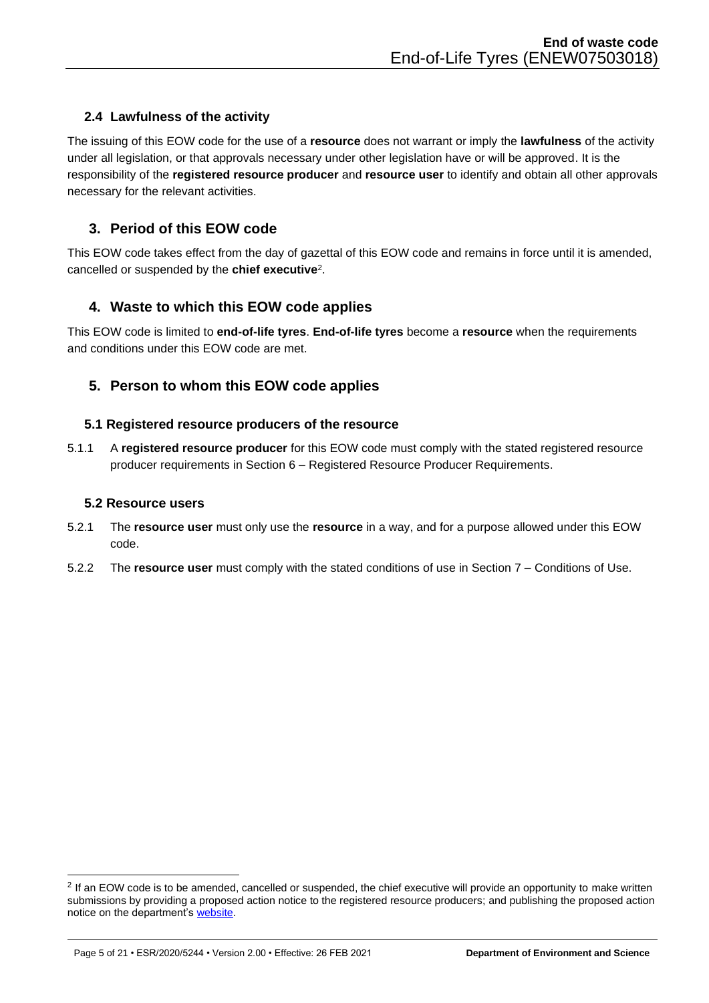# <span id="page-4-0"></span>**2.4 Lawfulness of the activity**

The issuing of this EOW code for the use of a **resource** does not warrant or imply the **lawfulness** of the activity under all legislation, or that approvals necessary under other legislation have or will be approved. It is the responsibility of the **registered resource producer** and **resource user** to identify and obtain all other approvals necessary for the relevant activities.

# <span id="page-4-1"></span>**3. Period of this EOW code**

This EOW code takes effect from the day of gazettal of this EOW code and remains in force until it is amended, cancelled or suspended by the **chief executive**<sup>2</sup> .

# <span id="page-4-2"></span>**4. Waste to which this EOW code applies**

This EOW code is limited to **end-of-life tyres**. **End-of-life tyres** become a **resource** when the requirements and conditions under this EOW code are met.

# <span id="page-4-3"></span>**5. Person to whom this EOW code applies**

## <span id="page-4-4"></span>**5.1 Registered resource producers of the resource**

5.1.1 A **registered resource producer** for this EOW code must comply with the stated registered resource producer requirements in Section 6 – Registered Resource Producer Requirements.

## <span id="page-4-5"></span>**5.2 Resource users**

- 5.2.1 The **resource user** must only use the **resource** in a way, and for a purpose allowed under this EOW code.
- 5.2.2 The **resource user** must comply with the stated conditions of use in Section 7 Conditions of Use.

<sup>&</sup>lt;sup>2</sup> If an EOW code is to be amended, cancelled or suspended, the chief executive will provide an opportunity to make written submissions by providing a proposed action notice to the registered resource producers; and publishing the proposed action notice on the department's [website.](https://environment.des.qld.gov.au/waste/end-of-waste-framework.html)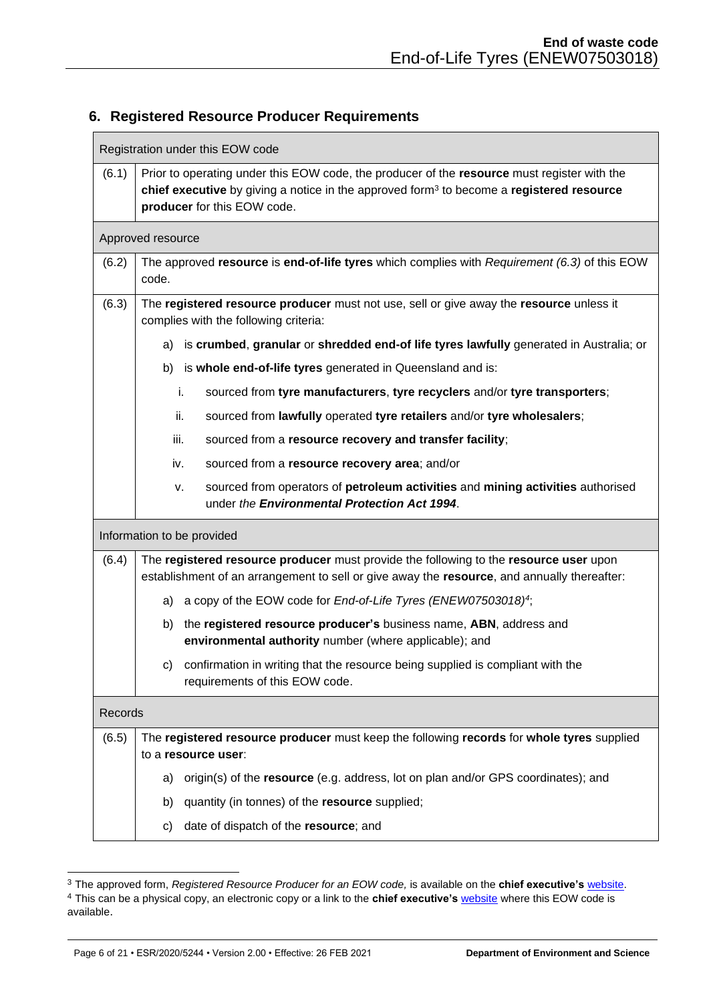# <span id="page-5-0"></span>**6. Registered Resource Producer Requirements**

|         | Registration under this EOW code                                                                                                                                                                                          |  |  |  |
|---------|---------------------------------------------------------------------------------------------------------------------------------------------------------------------------------------------------------------------------|--|--|--|
| (6.1)   | Prior to operating under this EOW code, the producer of the resource must register with the<br>chief executive by giving a notice in the approved form $3$ to become a registered resource<br>producer for this EOW code. |  |  |  |
|         | Approved resource                                                                                                                                                                                                         |  |  |  |
| (6.2)   | The approved resource is end-of-life tyres which complies with Requirement (6.3) of this EOW<br>code.                                                                                                                     |  |  |  |
| (6.3)   | The registered resource producer must not use, sell or give away the resource unless it<br>complies with the following criteria:                                                                                          |  |  |  |
|         | is crumbed, granular or shredded end-of life tyres lawfully generated in Australia; or<br>a)                                                                                                                              |  |  |  |
|         | is whole end-of-life tyres generated in Queensland and is:<br>b)                                                                                                                                                          |  |  |  |
|         | i.<br>sourced from tyre manufacturers, tyre recyclers and/or tyre transporters;                                                                                                                                           |  |  |  |
|         | ii.<br>sourced from lawfully operated tyre retailers and/or tyre wholesalers;                                                                                                                                             |  |  |  |
|         | sourced from a resource recovery and transfer facility;<br>iii.                                                                                                                                                           |  |  |  |
|         | sourced from a resource recovery area; and/or<br>iv.                                                                                                                                                                      |  |  |  |
|         | sourced from operators of petroleum activities and mining activities authorised<br>ν.<br>under the Environmental Protection Act 1994.                                                                                     |  |  |  |
|         | Information to be provided                                                                                                                                                                                                |  |  |  |
| (6.4)   | The registered resource producer must provide the following to the resource user upon<br>establishment of an arrangement to sell or give away the resource, and annually thereafter:                                      |  |  |  |
|         | a copy of the EOW code for End-of-Life Tyres (ENEW07503018) <sup>4</sup> ;<br>a)                                                                                                                                          |  |  |  |
|         | the registered resource producer's business name, ABN, address and<br>b)<br>environmental authority number (where applicable); and                                                                                        |  |  |  |
|         | c) confirmation in writing that the resource being supplied is compliant with the<br>requirements of this EOW code.                                                                                                       |  |  |  |
| Records |                                                                                                                                                                                                                           |  |  |  |
| (6.5)   | The registered resource producer must keep the following records for whole tyres supplied<br>to a resource user:                                                                                                          |  |  |  |
|         | origin(s) of the resource (e.g. address, lot on plan and/or GPS coordinates); and<br>a)                                                                                                                                   |  |  |  |
|         | quantity (in tonnes) of the resource supplied;<br>b)                                                                                                                                                                      |  |  |  |
|         | date of dispatch of the resource; and<br>c)                                                                                                                                                                               |  |  |  |

<sup>3</sup> The approved form, *Registered Resource Producer for an EOW code,* is available on the **chief executive's** [website.](https://environment.des.qld.gov.au/waste/end-of-waste-framework.html) <sup>4</sup> This can be a physical copy, an electronic copy or a link to the **chief executive's** [website](https://environment.des.qld.gov.au/waste/end-of-waste-framework.html) where this EOW code is available.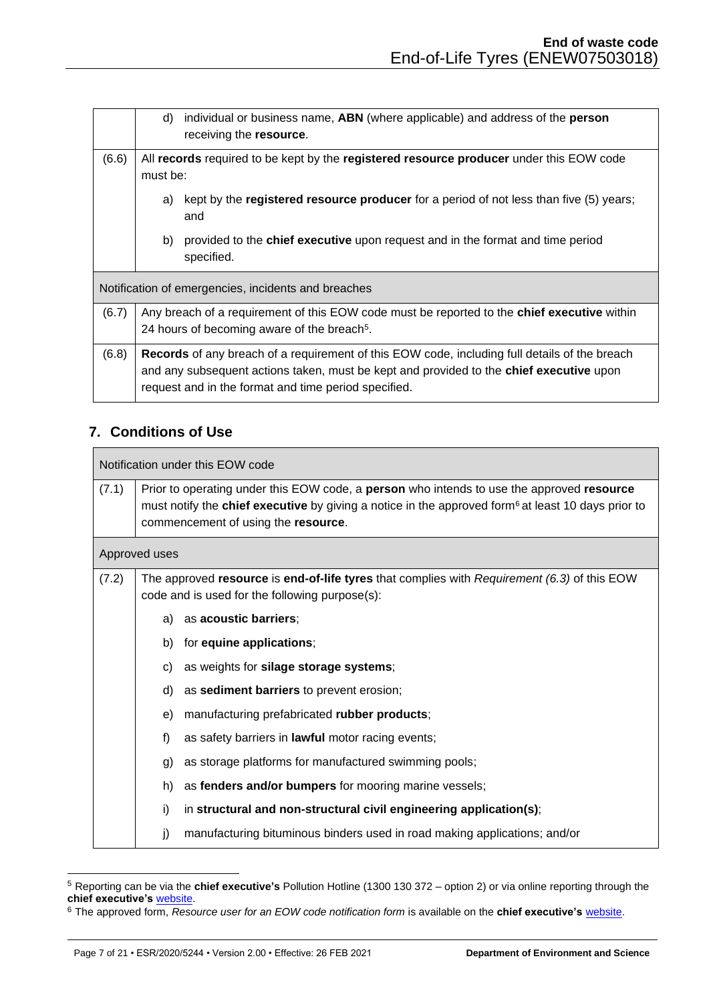|       | individual or business name, ABN (where applicable) and address of the <b>person</b><br>d)<br>receiving the resource.                                                                                                                                          |
|-------|----------------------------------------------------------------------------------------------------------------------------------------------------------------------------------------------------------------------------------------------------------------|
| (6.6) | All records required to be kept by the registered resource producer under this EOW code<br>must be:                                                                                                                                                            |
|       | kept by the <b>registered resource producer</b> for a period of not less than five (5) years;<br>a)<br>and                                                                                                                                                     |
|       | provided to the chief executive upon request and in the format and time period<br>b)<br>specified.                                                                                                                                                             |
|       | Notification of emergencies, incidents and breaches                                                                                                                                                                                                            |
| (6.7) | Any breach of a requirement of this EOW code must be reported to the <b>chief executive</b> within<br>24 hours of becoming aware of the breach <sup>5</sup> .                                                                                                  |
| (6.8) | <b>Records</b> of any breach of a requirement of this EOW code, including full details of the breach<br>and any subsequent actions taken, must be kept and provided to the <b>chief executive</b> upon<br>request and in the format and time period specified. |

# <span id="page-6-0"></span>**7. Conditions of Use**

|       | Notification under this EOW code                                                                                                                                                                                                                                        |                                                                                                                                               |  |  |
|-------|-------------------------------------------------------------------------------------------------------------------------------------------------------------------------------------------------------------------------------------------------------------------------|-----------------------------------------------------------------------------------------------------------------------------------------------|--|--|
| (7.1) | Prior to operating under this EOW code, a <b>person</b> who intends to use the approved <b>resource</b><br>must notify the <b>chief executive</b> by giving a notice in the approved form <sup>6</sup> at least 10 days prior to<br>commencement of using the resource. |                                                                                                                                               |  |  |
|       | Approved uses                                                                                                                                                                                                                                                           |                                                                                                                                               |  |  |
| (7.2) |                                                                                                                                                                                                                                                                         | The approved resource is end-of-life tyres that complies with Requirement (6.3) of this EOW<br>code and is used for the following purpose(s): |  |  |
|       | a)                                                                                                                                                                                                                                                                      | as acoustic barriers;                                                                                                                         |  |  |
|       | b)                                                                                                                                                                                                                                                                      | for equine applications;                                                                                                                      |  |  |
|       | C)                                                                                                                                                                                                                                                                      | as weights for silage storage systems;                                                                                                        |  |  |
|       | d)                                                                                                                                                                                                                                                                      | as sediment barriers to prevent erosion;                                                                                                      |  |  |
|       | e)                                                                                                                                                                                                                                                                      | manufacturing prefabricated rubber products;                                                                                                  |  |  |
|       | f)                                                                                                                                                                                                                                                                      | as safety barriers in lawful motor racing events;                                                                                             |  |  |
|       | g)                                                                                                                                                                                                                                                                      | as storage platforms for manufactured swimming pools;                                                                                         |  |  |
|       | h)                                                                                                                                                                                                                                                                      | as fenders and/or bumpers for mooring marine vessels;                                                                                         |  |  |
|       | i)                                                                                                                                                                                                                                                                      | in structural and non-structural civil engineering application(s);                                                                            |  |  |
|       | j)                                                                                                                                                                                                                                                                      | manufacturing bituminous binders used in road making applications; and/or                                                                     |  |  |

<sup>5</sup> Reporting can be via the **chief executive's** Pollution Hotline (1300 130 372 – option 2) or via online reporting through the **chief executive's** [website.](https://www.qld.gov.au/environment/pollution/pollution-management/reporting)

<sup>6</sup> The approved form, *Resource user for an EOW code notification form* is available on the **chief executive's** [website.](https://environment.des.qld.gov.au/management/waste/business/end-of-waste-classification)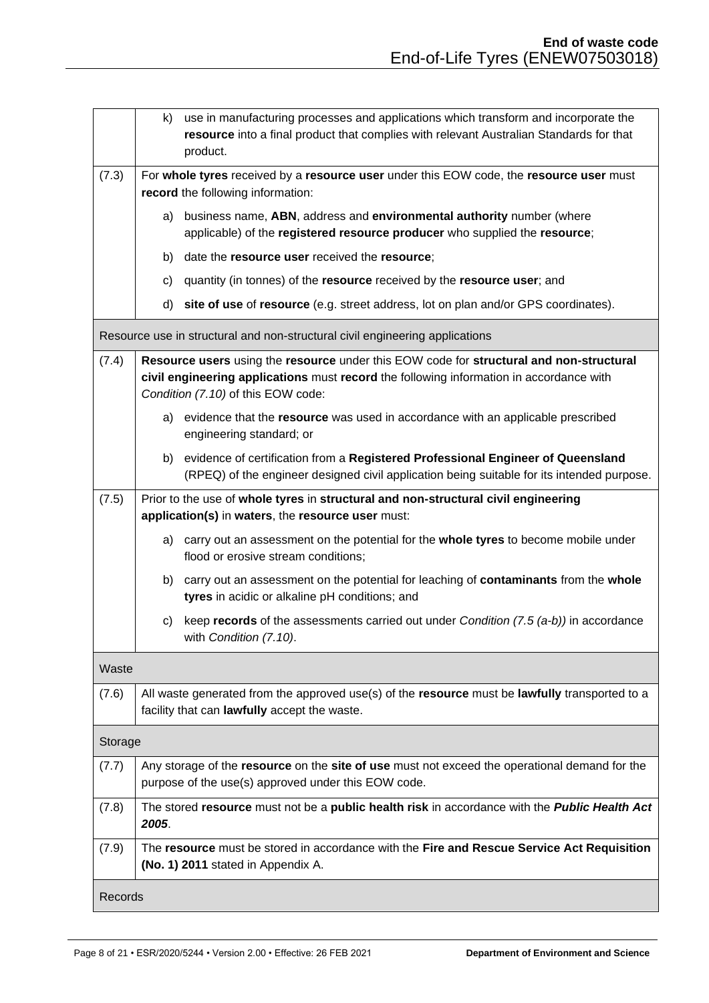|         | k)                                                                                                                                                   | use in manufacturing processes and applications which transform and incorporate the<br>resource into a final product that complies with relevant Australian Standards for that<br>product.                               |
|---------|------------------------------------------------------------------------------------------------------------------------------------------------------|--------------------------------------------------------------------------------------------------------------------------------------------------------------------------------------------------------------------------|
| (7.3)   |                                                                                                                                                      | For whole tyres received by a resource user under this EOW code, the resource user must<br>record the following information:                                                                                             |
|         | a)                                                                                                                                                   | business name, ABN, address and environmental authority number (where<br>applicable) of the registered resource producer who supplied the resource;                                                                      |
|         | b)                                                                                                                                                   | date the resource user received the resource;                                                                                                                                                                            |
|         | C)                                                                                                                                                   | quantity (in tonnes) of the resource received by the resource user; and                                                                                                                                                  |
|         | d)                                                                                                                                                   | site of use of resource (e.g. street address, lot on plan and/or GPS coordinates).                                                                                                                                       |
|         |                                                                                                                                                      | Resource use in structural and non-structural civil engineering applications                                                                                                                                             |
| (7.4)   |                                                                                                                                                      | Resource users using the resource under this EOW code for structural and non-structural<br>civil engineering applications must record the following information in accordance with<br>Condition (7.10) of this EOW code: |
|         |                                                                                                                                                      | a) evidence that the resource was used in accordance with an applicable prescribed<br>engineering standard; or                                                                                                           |
|         | b)                                                                                                                                                   | evidence of certification from a Registered Professional Engineer of Queensland<br>(RPEQ) of the engineer designed civil application being suitable for its intended purpose.                                            |
| (7.5)   |                                                                                                                                                      | Prior to the use of whole tyres in structural and non-structural civil engineering<br>application(s) in waters, the resource user must:                                                                                  |
|         | a)                                                                                                                                                   | carry out an assessment on the potential for the whole tyres to become mobile under<br>flood or erosive stream conditions;                                                                                               |
|         | b)                                                                                                                                                   | carry out an assessment on the potential for leaching of contaminants from the whole<br>tyres in acidic or alkaline pH conditions; and                                                                                   |
|         | C)                                                                                                                                                   | keep records of the assessments carried out under Condition $(7.5 (a-b))$ in accordance<br>with Condition (7.10).                                                                                                        |
| Waste   |                                                                                                                                                      |                                                                                                                                                                                                                          |
| (7.6)   |                                                                                                                                                      | All waste generated from the approved use(s) of the resource must be lawfully transported to a<br>facility that can lawfully accept the waste.                                                                           |
| Storage |                                                                                                                                                      |                                                                                                                                                                                                                          |
| (7.7)   | Any storage of the resource on the site of use must not exceed the operational demand for the<br>purpose of the use(s) approved under this EOW code. |                                                                                                                                                                                                                          |
| (7.8)   | 2005.                                                                                                                                                | The stored resource must not be a public health risk in accordance with the Public Health Act                                                                                                                            |
| (7.9)   |                                                                                                                                                      | The resource must be stored in accordance with the Fire and Rescue Service Act Requisition<br>(No. 1) 2011 stated in Appendix A.                                                                                         |
| Records |                                                                                                                                                      |                                                                                                                                                                                                                          |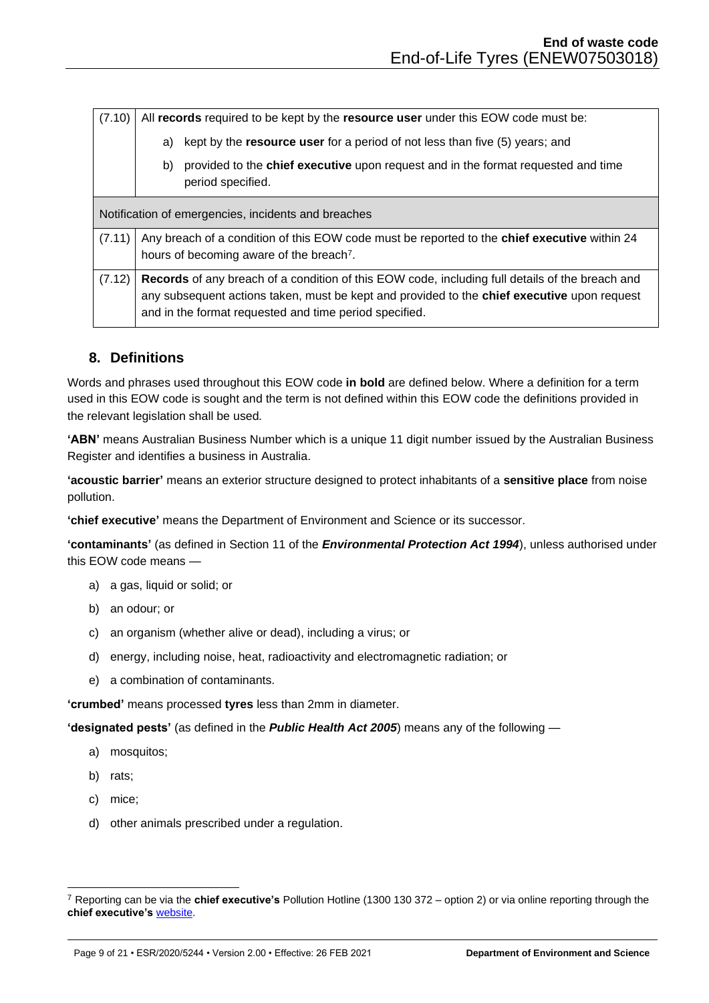| (7.10) |    | All records required to be kept by the resource user under this EOW code must be:                                                                                                                                                                               |
|--------|----|-----------------------------------------------------------------------------------------------------------------------------------------------------------------------------------------------------------------------------------------------------------------|
|        | a) | kept by the <b>resource user</b> for a period of not less than five (5) years; and                                                                                                                                                                              |
|        | b) | provided to the <b>chief executive</b> upon request and in the format requested and time<br>period specified.                                                                                                                                                   |
|        |    | Notification of emergencies, incidents and breaches                                                                                                                                                                                                             |
| (7.11) |    | Any breach of a condition of this EOW code must be reported to the <b>chief executive</b> within 24<br>hours of becoming aware of the breach <sup>7</sup> .                                                                                                     |
| (7.12) |    | <b>Records</b> of any breach of a condition of this EOW code, including full details of the breach and<br>any subsequent actions taken, must be kept and provided to the chief executive upon request<br>and in the format requested and time period specified. |

# <span id="page-8-0"></span>**8. Definitions**

Words and phrases used throughout this EOW code **in bold** are defined below. Where a definition for a term used in this EOW code is sought and the term is not defined within this EOW code the definitions provided in the relevant legislation shall be used*.* 

**'ABN'** means Australian Business Number which is a unique 11 digit number issued by the Australian Business Register and identifies a business in Australia.

**'acoustic barrier'** means an exterior structure designed to protect inhabitants of a **sensitive place** from noise pollution.

**'chief executive'** means the Department of Environment and Science or its successor.

**'contaminants'** (as defined in Section 11 of the *Environmental Protection Act 1994*), unless authorised under this EOW code means —

- a) a gas, liquid or solid; or
- b) an odour; or
- c) an organism (whether alive or dead), including a virus; or
- d) energy, including noise, heat, radioactivity and electromagnetic radiation; or
- e) a combination of contaminants.

**'crumbed'** means processed **tyres** less than 2mm in diameter.

**'designated pests'** (as defined in the *Public Health Act 2005*) means any of the following —

- a) mosquitos;
- b) rats;
- c) mice;
- d) other animals prescribed under a regulation.

<sup>7</sup> Reporting can be via the **chief executive's** Pollution Hotline (1300 130 372 – option 2) or via online reporting through the **chief executive's** [website.](https://www.qld.gov.au/environment/pollution/pollution-management/reporting)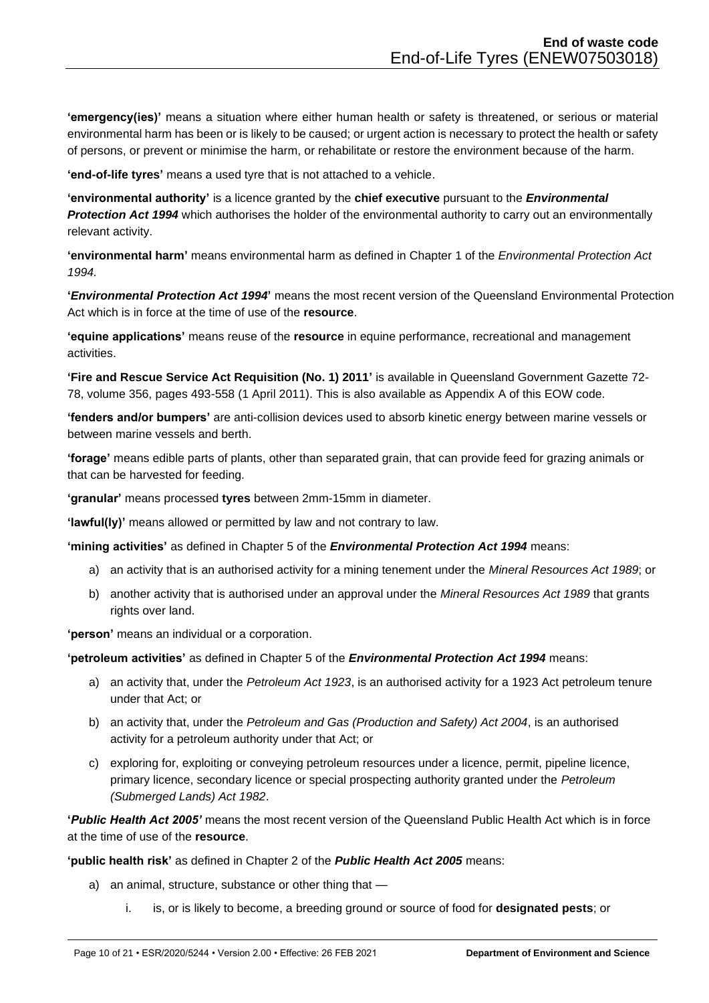**'emergency(ies)'** means a situation where either human health or safety is threatened, or serious or material environmental harm has been or is likely to be caused; or urgent action is necessary to protect the health or safety of persons, or prevent or minimise the harm, or rehabilitate or restore the environment because of the harm.

**'end-of-life tyres'** means a used tyre that is not attached to a vehicle.

**'environmental authority'** is a licence granted by the **chief executive** pursuant to the *Environmental Protection Act 1994* which authorises the holder of the environmental authority to carry out an environmentally relevant activity.

**'environmental harm'** means environmental harm as defined in Chapter 1 of the *Environmental Protection Act 1994.*

**'***Environmental Protection Act 1994***'** means the most recent version of the Queensland Environmental Protection Act which is in force at the time of use of the **resource**.

**'equine applications'** means reuse of the **resource** in equine performance, recreational and management activities.

**'Fire and Rescue Service Act Requisition (No. 1) 2011'** is available in Queensland Government Gazette 72- 78, volume 356, pages 493-558 (1 April 2011). This is also available as Appendix A of this EOW code.

**'fenders and/or bumpers'** are anti-collision devices used to absorb kinetic energy between marine vessels or between marine vessels and berth.

**'forage'** means edible parts of plants, other than separated grain, that can provide feed for grazing animals or that can be harvested for feeding.

**'granular'** means processed **tyres** between 2mm-15mm in diameter.

**'lawful(ly)'** means allowed or permitted by law and not contrary to law.

**'mining activities'** as defined in Chapter 5 of the *Environmental Protection Act 1994* means:

- a) an activity that is an authorised activity for a mining tenement under the *Mineral Resources Act 1989*; or
- b) another activity that is authorised under an approval under the *Mineral Resources Act 1989* that grants rights over land.

**'person'** means an individual or a corporation.

**'petroleum activities'** as defined in Chapter 5 of the *Environmental Protection Act 1994* means:

- a) an activity that, under the *Petroleum Act 1923*, is an authorised activity for a 1923 Act petroleum tenure under that Act; or
- b) an activity that, under the *Petroleum and Gas (Production and Safety) Act 2004*, is an authorised activity for a petroleum authority under that Act; or
- c) exploring for, exploiting or conveying petroleum resources under a licence, permit, pipeline licence, primary licence, secondary licence or special prospecting authority granted under the *Petroleum (Submerged Lands) Act 1982*.

**'***Public Health Act 2005'* means the most recent version of the Queensland Public Health Act which is in force at the time of use of the **resource**.

**'public health risk'** as defined in Chapter 2 of the *Public Health Act 2005* means:

- a) an animal, structure, substance or other thing that
	- i. is, or is likely to become, a breeding ground or source of food for **designated pests**; or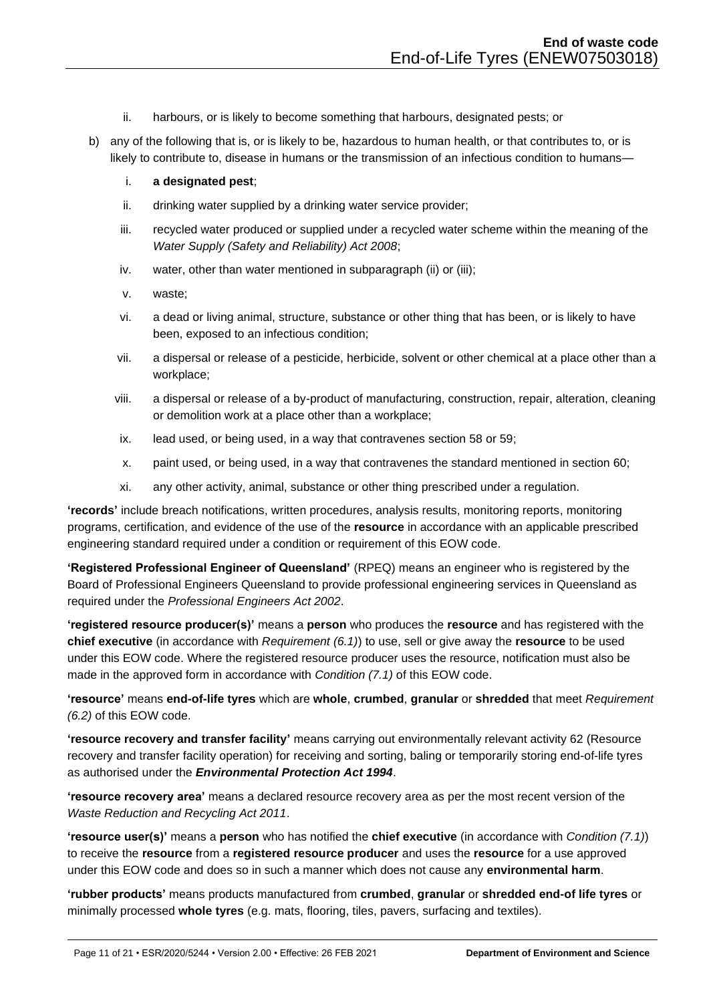- ii. harbours, or is likely to become something that harbours, designated pests; or
- b) any of the following that is, or is likely to be, hazardous to human health, or that contributes to, or is likely to contribute to, disease in humans or the transmission of an infectious condition to humans–
	- i. **a designated pest**;
	- ii. drinking water supplied by a drinking water service provider;
	- iii. recycled water produced or supplied under a recycled water scheme within the meaning of the *Water Supply (Safety and Reliability) Act 2008*;
	- iv. water, other than water mentioned in subparagraph (ii) or (iii);
	- v. waste;
	- vi. a dead or living animal, structure, substance or other thing that has been, or is likely to have been, exposed to an infectious condition;
	- vii. a dispersal or release of a pesticide, herbicide, solvent or other chemical at a place other than a workplace;
	- viii. a dispersal or release of a by-product of manufacturing, construction, repair, alteration, cleaning or demolition work at a place other than a workplace;
	- ix. lead used, or being used, in a way that contravenes section 58 or 59;
	- x. paint used, or being used, in a way that contravenes the standard mentioned in section 60;
	- xi. any other activity, animal, substance or other thing prescribed under a regulation.

**'records'** include breach notifications, written procedures, analysis results, monitoring reports, monitoring programs, certification, and evidence of the use of the **resource** in accordance with an applicable prescribed engineering standard required under a condition or requirement of this EOW code.

**'Registered Professional Engineer of Queensland'** (RPEQ) means an engineer who is registered by the Board of Professional Engineers Queensland to provide professional engineering services in Queensland as required under the *Professional Engineers Act 2002*.

**'registered resource producer(s)'** means a **person** who produces the **resource** and has registered with the **chief executive** (in accordance with *Requirement (6.1)*) to use, sell or give away the **resource** to be used under this EOW code. Where the registered resource producer uses the resource, notification must also be made in the approved form in accordance with *Condition (7.1)* of this EOW code.

**'resource'** means **end-of-life tyres** which are **whole**, **crumbed**, **granular** or **shredded** that meet *Requirement (6.2)* of this EOW code.

**'resource recovery and transfer facility'** means carrying out environmentally relevant activity 62 (Resource recovery and transfer facility operation) for receiving and sorting, baling or temporarily storing end-of-life tyres as authorised under the *Environmental Protection Act 1994*.

**'resource recovery area'** means a declared resource recovery area as per the most recent version of the *Waste Reduction and Recycling Act 2011*.

**'resource user(s)'** means a **person** who has notified the **chief executive** (in accordance with *Condition (7.1)*) to receive the **resource** from a **registered resource producer** and uses the **resource** for a use approved under this EOW code and does so in such a manner which does not cause any **environmental harm**.

**'rubber products'** means products manufactured from **crumbed**, **granular** or **shredded end-of life tyres** or minimally processed **whole tyres** (e.g. mats, flooring, tiles, pavers, surfacing and textiles).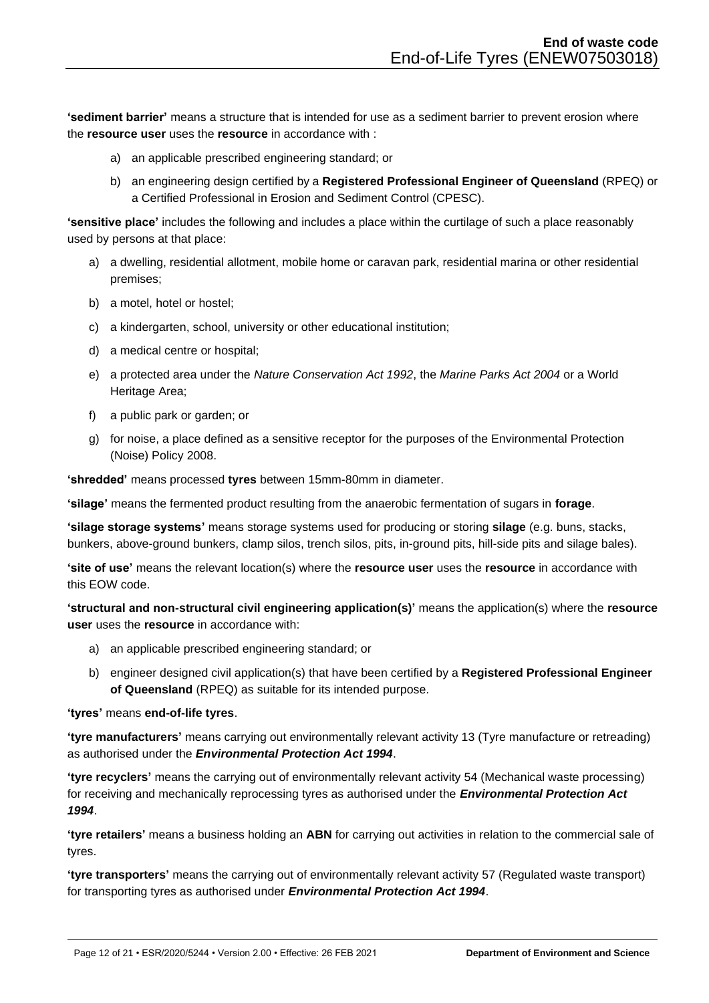**'sediment barrier'** means a structure that is intended for use as a sediment barrier to prevent erosion where the **resource user** uses the **resource** in accordance with :

- a) an applicable prescribed engineering standard; or
- b) an engineering design certified by a **Registered Professional Engineer of Queensland** (RPEQ) or a Certified Professional in Erosion and Sediment Control (CPESC).

**'sensitive place'** includes the following and includes a place within the curtilage of such a place reasonably used by persons at that place:

- a) a dwelling, residential allotment, mobile home or caravan park, residential marina or other residential premises;
- b) a motel, hotel or hostel;
- c) a kindergarten, school, university or other educational institution;
- d) a medical centre or hospital;
- e) a protected area under the *Nature Conservation Act 1992*, the *Marine Parks Act 2004* or a World Heritage Area;
- f) a public park or garden; or
- g) for noise, a place defined as a sensitive receptor for the purposes of the Environmental Protection (Noise) Policy 2008.

**'shredded'** means processed **tyres** between 15mm-80mm in diameter.

**'silage'** means the fermented product resulting from the anaerobic fermentation of sugars in **forage**.

**'silage storage systems'** means storage systems used for producing or storing **silage** (e.g. buns, stacks, bunkers, above-ground bunkers, clamp silos, trench silos, pits, in-ground pits, hill-side pits and silage bales).

**'site of use'** means the relevant location(s) where the **resource user** uses the **resource** in accordance with this EOW code.

**'structural and non-structural civil engineering application(s)'** means the application(s) where the **resource user** uses the **resource** in accordance with:

- a) an applicable prescribed engineering standard; or
- b) engineer designed civil application(s) that have been certified by a **Registered Professional Engineer of Queensland** (RPEQ) as suitable for its intended purpose.

### **'tyres'** means **end-of-life tyres**.

**'tyre manufacturers'** means carrying out environmentally relevant activity 13 (Tyre manufacture or retreading) as authorised under the *Environmental Protection Act 1994*.

**'tyre recyclers'** means the carrying out of environmentally relevant activity 54 (Mechanical waste processing) for receiving and mechanically reprocessing tyres as authorised under the *Environmental Protection Act 1994*.

**'tyre retailers'** means a business holding an **ABN** for carrying out activities in relation to the commercial sale of tyres.

**'tyre transporters'** means the carrying out of environmentally relevant activity 57 (Regulated waste transport) for transporting tyres as authorised under *Environmental Protection Act 1994*.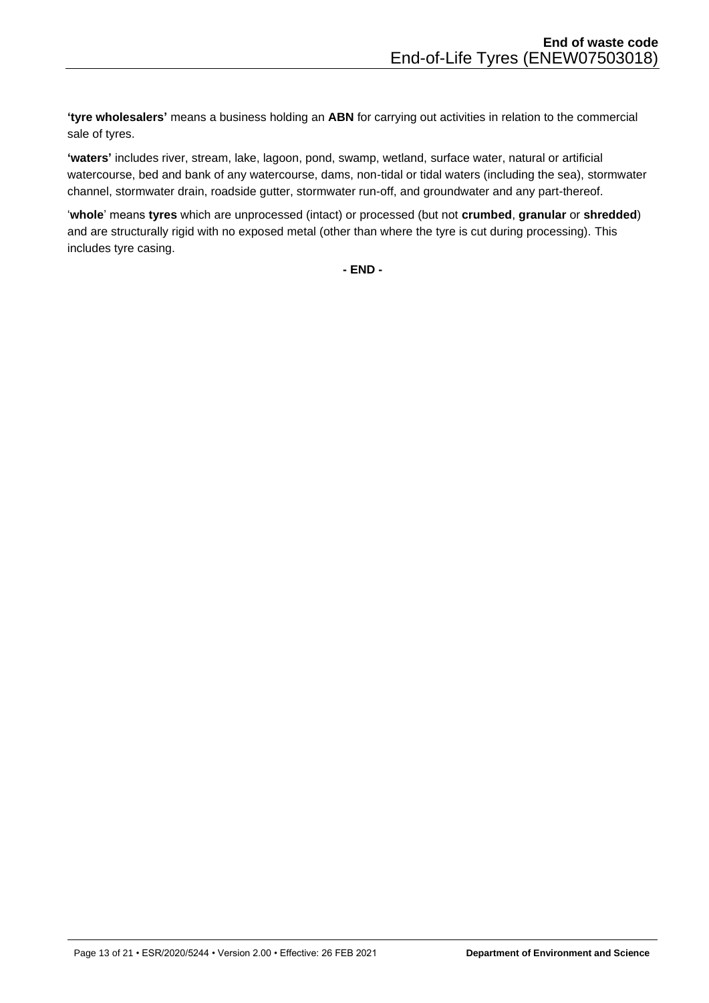**'tyre wholesalers'** means a business holding an **ABN** for carrying out activities in relation to the commercial sale of tyres.

**'waters'** includes river, stream, lake, lagoon, pond, swamp, wetland, surface water, natural or artificial watercourse, bed and bank of any watercourse, dams, non-tidal or tidal waters (including the sea), stormwater channel, stormwater drain, roadside gutter, stormwater run-off, and groundwater and any part-thereof.

'**whole**' means **tyres** which are unprocessed (intact) or processed (but not **crumbed**, **granular** or **shredded**) and are structurally rigid with no exposed metal (other than where the tyre is cut during processing). This includes tyre casing.

**- END -**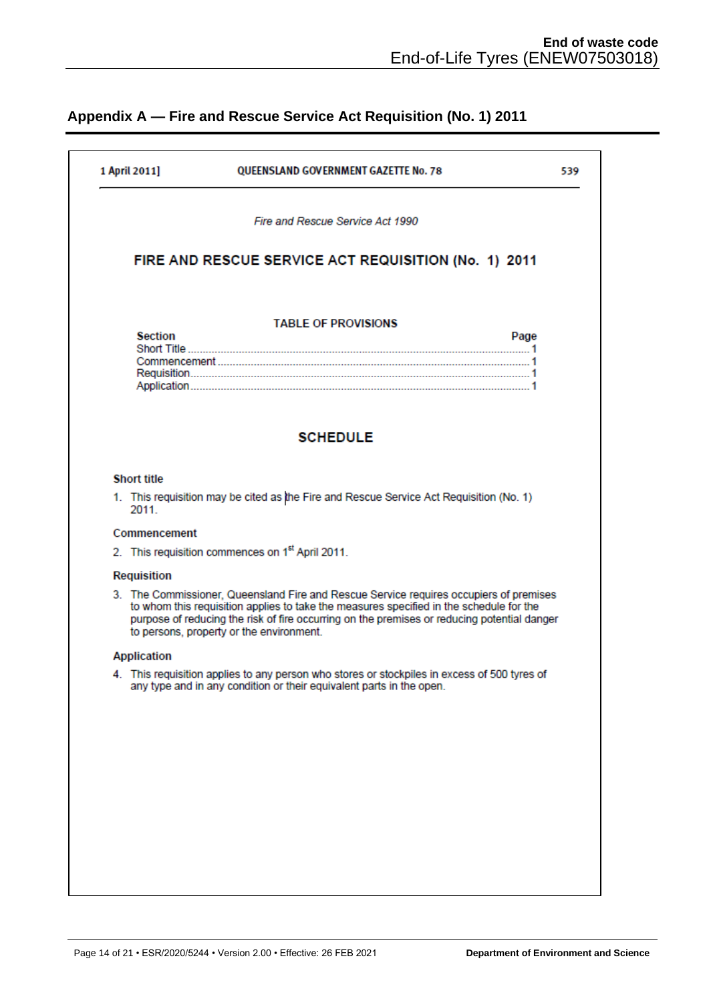# <span id="page-13-0"></span>**Appendix A — Fire and Rescue Service Act Requisition (No. 1) 2011**

| 1 April 2011]      | QUEENSLAND GOVERNMENT GAZETTE No. 78                                                                                                                                                                                                                                                                                         | 539  |
|--------------------|------------------------------------------------------------------------------------------------------------------------------------------------------------------------------------------------------------------------------------------------------------------------------------------------------------------------------|------|
|                    | Fire and Rescue Service Act 1990                                                                                                                                                                                                                                                                                             |      |
|                    | FIRE AND RESCUE SERVICE ACT REQUISITION (No. 1) 2011                                                                                                                                                                                                                                                                         |      |
| <b>Section</b>     | <b>TABLE OF PROVISIONS</b>                                                                                                                                                                                                                                                                                                   | Page |
|                    |                                                                                                                                                                                                                                                                                                                              |      |
|                    | <b>SCHEDULE</b>                                                                                                                                                                                                                                                                                                              |      |
| <b>Short title</b> |                                                                                                                                                                                                                                                                                                                              |      |
| 2011               | 1. This requisition may be cited as the Fire and Rescue Service Act Requisition (No. 1)                                                                                                                                                                                                                                      |      |
| Commencement       |                                                                                                                                                                                                                                                                                                                              |      |
|                    | 2. This requisition commences on 1 <sup>st</sup> April 2011.                                                                                                                                                                                                                                                                 |      |
| Requisition        |                                                                                                                                                                                                                                                                                                                              |      |
|                    | 3. The Commissioner, Queensland Fire and Rescue Service requires occupiers of premises<br>to whom this requisition applies to take the measures specified in the schedule for the<br>purpose of reducing the risk of fire occurring on the premises or reducing potential danger<br>to persons, property or the environment. |      |
| <b>Application</b> |                                                                                                                                                                                                                                                                                                                              |      |
|                    | 4. This requisition applies to any person who stores or stockpiles in excess of 500 tyres of<br>any type and in any condition or their equivalent parts in the open.                                                                                                                                                         |      |
|                    |                                                                                                                                                                                                                                                                                                                              |      |
|                    |                                                                                                                                                                                                                                                                                                                              |      |
|                    |                                                                                                                                                                                                                                                                                                                              |      |
|                    |                                                                                                                                                                                                                                                                                                                              |      |
|                    |                                                                                                                                                                                                                                                                                                                              |      |
|                    |                                                                                                                                                                                                                                                                                                                              |      |
|                    |                                                                                                                                                                                                                                                                                                                              |      |
|                    |                                                                                                                                                                                                                                                                                                                              |      |
|                    |                                                                                                                                                                                                                                                                                                                              |      |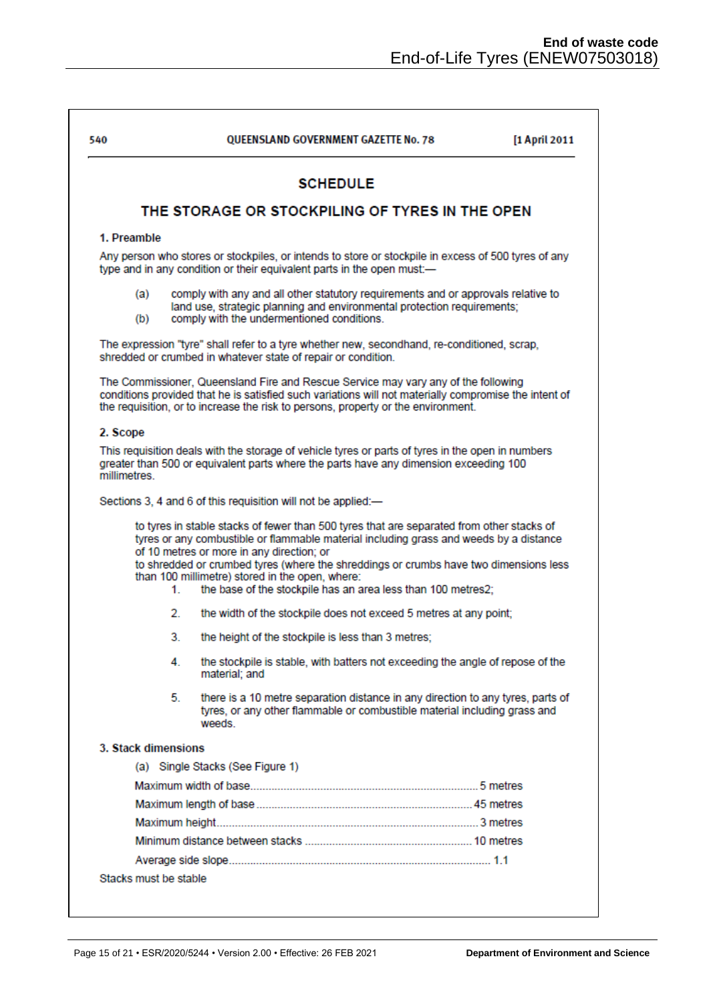| 540         |                       | <b>OUEENSLAND GOVERNMENT GAZETTE No. 78</b>                                                                                                                                                                                                                                                                                                                                                                                                  | [1 April 2011 |
|-------------|-----------------------|----------------------------------------------------------------------------------------------------------------------------------------------------------------------------------------------------------------------------------------------------------------------------------------------------------------------------------------------------------------------------------------------------------------------------------------------|---------------|
|             |                       | <b>SCHEDULE</b>                                                                                                                                                                                                                                                                                                                                                                                                                              |               |
|             |                       | THE STORAGE OR STOCKPILING OF TYRES IN THE OPEN                                                                                                                                                                                                                                                                                                                                                                                              |               |
| 1. Preamble |                       |                                                                                                                                                                                                                                                                                                                                                                                                                                              |               |
|             |                       | Any person who stores or stockpiles, or intends to store or stockpile in excess of 500 tyres of any<br>type and in any condition or their equivalent parts in the open must:-                                                                                                                                                                                                                                                                |               |
|             | (a)<br>(b)            | comply with any and all other statutory requirements and or approvals relative to<br>land use, strategic planning and environmental protection requirements;<br>comply with the undermentioned conditions.                                                                                                                                                                                                                                   |               |
|             |                       | The expression "tyre" shall refer to a tyre whether new, secondhand, re-conditioned, scrap,<br>shredded or crumbed in whatever state of repair or condition.                                                                                                                                                                                                                                                                                 |               |
|             |                       | The Commissioner, Queensland Fire and Rescue Service may vary any of the following<br>conditions provided that he is satisfied such variations will not materially compromise the intent of<br>the requisition, or to increase the risk to persons, property or the environment.                                                                                                                                                             |               |
| 2. Scope    |                       |                                                                                                                                                                                                                                                                                                                                                                                                                                              |               |
| millimetres |                       | This requisition deals with the storage of vehicle tyres or parts of tyres in the open in numbers<br>greater than 500 or equivalent parts where the parts have any dimension exceeding 100                                                                                                                                                                                                                                                   |               |
|             |                       | Sections 3, 4 and 6 of this requisition will not be applied:-                                                                                                                                                                                                                                                                                                                                                                                |               |
|             | 1.                    | to tyres in stable stacks of fewer than 500 tyres that are separated from other stacks of<br>tyres or any combustible or flammable material including grass and weeds by a distance<br>of 10 metres or more in any direction; or<br>to shredded or crumbed tyres (where the shreddings or crumbs have two dimensions less<br>than 100 millimetre) stored in the open, where:<br>the base of the stockpile has an area less than 100 metres2; |               |
|             | $2^{\circ}$           | the width of the stockpile does not exceed 5 metres at any point;                                                                                                                                                                                                                                                                                                                                                                            |               |
|             | 3.                    | the height of the stockpile is less than 3 metres;                                                                                                                                                                                                                                                                                                                                                                                           |               |
|             | 4.                    | the stockpile is stable, with batters not exceeding the angle of repose of the<br>material: and                                                                                                                                                                                                                                                                                                                                              |               |
|             | 5.                    | there is a 10 metre separation distance in any direction to any tyres, parts of<br>tyres, or any other flammable or combustible material including grass and<br>weeds                                                                                                                                                                                                                                                                        |               |
|             | 3. Stack dimensions   |                                                                                                                                                                                                                                                                                                                                                                                                                                              |               |
|             |                       | (a) Single Stacks (See Figure 1)                                                                                                                                                                                                                                                                                                                                                                                                             |               |
|             |                       |                                                                                                                                                                                                                                                                                                                                                                                                                                              |               |
|             |                       |                                                                                                                                                                                                                                                                                                                                                                                                                                              |               |
|             |                       |                                                                                                                                                                                                                                                                                                                                                                                                                                              |               |
|             |                       |                                                                                                                                                                                                                                                                                                                                                                                                                                              |               |
|             |                       |                                                                                                                                                                                                                                                                                                                                                                                                                                              |               |
|             | Stacks must be stable |                                                                                                                                                                                                                                                                                                                                                                                                                                              |               |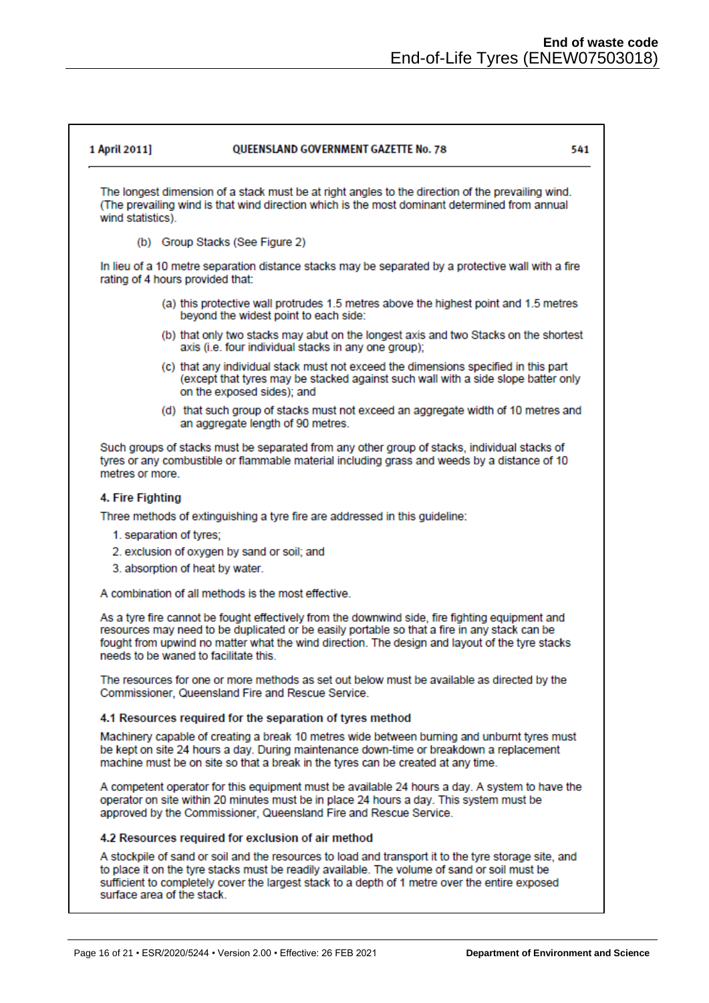541

#### **OUEENSLAND GOVERNMENT GAZETTE No. 78** 1 April 2011]

The longest dimension of a stack must be at right angles to the direction of the prevailing wind. (The prevailing wind is that wind direction which is the most dominant determined from annual wind statistics)

(b) Group Stacks (See Figure 2)

In lieu of a 10 metre separation distance stacks may be separated by a protective wall with a fire rating of 4 hours provided that:

- (a) this protective wall protrudes 1.5 metres above the highest point and 1.5 metres beyond the widest point to each side:
- (b) that only two stacks may abut on the longest axis and two Stacks on the shortest axis (i.e. four individual stacks in any one group);
- (c) that any individual stack must not exceed the dimensions specified in this part (except that tyres may be stacked against such wall with a side slope batter only on the exposed sides): and
- (d) that such group of stacks must not exceed an aggregate width of 10 metres and an aggregate length of 90 metres.

Such groups of stacks must be separated from any other group of stacks, individual stacks of tyres or any combustible or flammable material including grass and weeds by a distance of 10 metres or more.

### 4. Fire Fighting

Three methods of extinguishing a tyre fire are addressed in this quideline:

- 1. separation of tyres:
- 2. exclusion of oxygen by sand or soil; and
- 3. absorption of heat by water.

A combination of all methods is the most effective.

As a tyre fire cannot be fought effectively from the downwind side, fire fighting equipment and resources may need to be duplicated or be easily portable so that a fire in any stack can be fought from upwind no matter what the wind direction. The design and layout of the tyre stacks needs to be waned to facilitate this.

The resources for one or more methods as set out below must be available as directed by the Commissioner, Queensland Fire and Rescue Service.

### 4.1 Resources required for the separation of tyres method

Machinery capable of creating a break 10 metres wide between burning and unburnt tyres must be kept on site 24 hours a day. During maintenance down-time or breakdown a replacement machine must be on site so that a break in the tyres can be created at any time.

A competent operator for this equipment must be available 24 hours a day. A system to have the operator on site within 20 minutes must be in place 24 hours a day. This system must be approved by the Commissioner, Queensland Fire and Rescue Service.

### 4.2 Resources required for exclusion of air method

A stockpile of sand or soil and the resources to load and transport it to the tyre storage site, and to place it on the tyre stacks must be readily available. The volume of sand or soil must be sufficient to completely cover the largest stack to a depth of 1 metre over the entire exposed surface area of the stack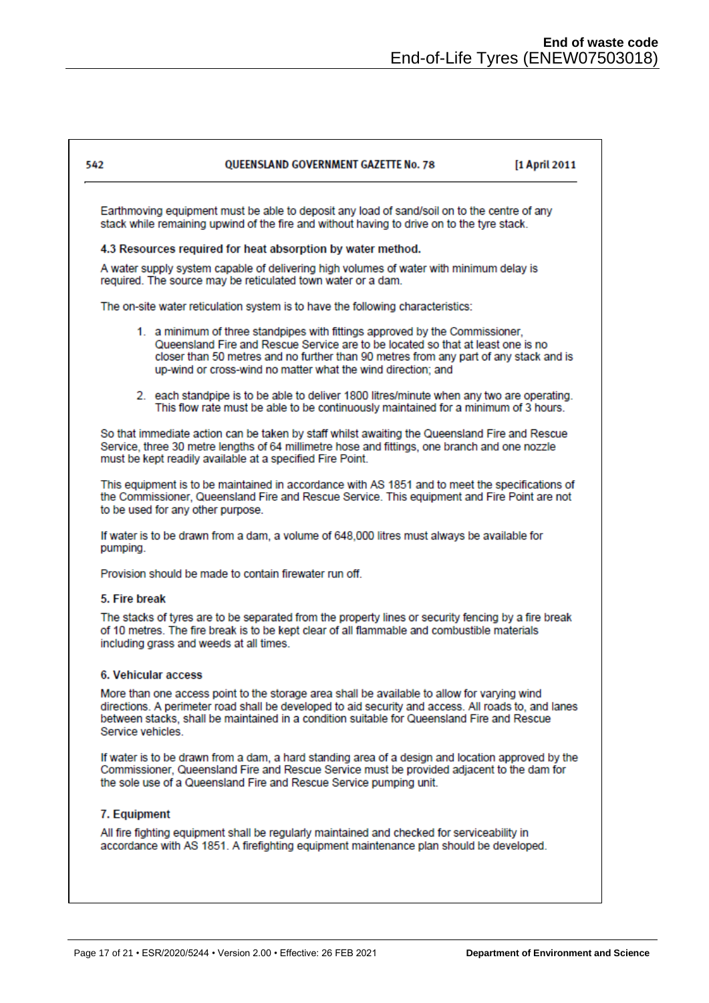٦

| 542              | <b>OUEENSLAND GOVERNMENT GAZETTE No. 78</b>                                                                                                                                                                                                                                                                              | [1 April 2011 |
|------------------|--------------------------------------------------------------------------------------------------------------------------------------------------------------------------------------------------------------------------------------------------------------------------------------------------------------------------|---------------|
|                  | Earthmoving equipment must be able to deposit any load of sand/soil on to the centre of any<br>stack while remaining upwind of the fire and without having to drive on to the tyre stack.                                                                                                                                |               |
|                  | 4.3 Resources required for heat absorption by water method.                                                                                                                                                                                                                                                              |               |
|                  | A water supply system capable of delivering high volumes of water with minimum delay is<br>required. The source may be reticulated town water or a dam.                                                                                                                                                                  |               |
|                  | The on-site water reticulation system is to have the following characteristics:                                                                                                                                                                                                                                          |               |
|                  | 1. a minimum of three standpipes with fittings approved by the Commissioner,<br>Queensland Fire and Rescue Service are to be located so that at least one is no<br>closer than 50 metres and no further than 90 metres from any part of any stack and is<br>up-wind or cross-wind no matter what the wind direction; and |               |
|                  | 2. each standpipe is to be able to deliver 1800 litres/minute when any two are operating.<br>This flow rate must be able to be continuously maintained for a minimum of 3 hours.                                                                                                                                         |               |
|                  | So that immediate action can be taken by staff whilst awaiting the Queensland Fire and Rescue<br>Service, three 30 metre lengths of 64 millimetre hose and fittings, one branch and one nozzle<br>must be kept readily available at a specified Fire Point.                                                              |               |
|                  | This equipment is to be maintained in accordance with AS 1851 and to meet the specifications of<br>the Commissioner, Queensland Fire and Rescue Service. This equipment and Fire Point are not<br>to be used for any other purpose.                                                                                      |               |
| pumping.         | If water is to be drawn from a dam, a volume of 648,000 litres must always be available for                                                                                                                                                                                                                              |               |
|                  | Provision should be made to contain firewater run off.                                                                                                                                                                                                                                                                   |               |
| 5. Fire break    |                                                                                                                                                                                                                                                                                                                          |               |
|                  | The stacks of tyres are to be separated from the property lines or security fencing by a fire break<br>of 10 metres. The fire break is to be kept clear of all flammable and combustible materials<br>including grass and weeds at all times.                                                                            |               |
|                  | 6. Vehicular access                                                                                                                                                                                                                                                                                                      |               |
| Service vehicles | More than one access point to the storage area shall be available to allow for varying wind<br>directions. A perimeter road shall be developed to aid security and access. All roads to, and lanes<br>between stacks, shall be maintained in a condition suitable for Queensland Fire and Rescue                         |               |
|                  | If water is to be drawn from a dam, a hard standing area of a design and location approved by the<br>Commissioner, Queensland Fire and Rescue Service must be provided adjacent to the dam for<br>the sole use of a Queensland Fire and Rescue Service pumping unit.                                                     |               |
| 7. Equipment     |                                                                                                                                                                                                                                                                                                                          |               |
|                  | All fire fighting equipment shall be regularly maintained and checked for serviceability in<br>accordance with AS 1851. A firefighting equipment maintenance plan should be developed.                                                                                                                                   |               |
|                  |                                                                                                                                                                                                                                                                                                                          |               |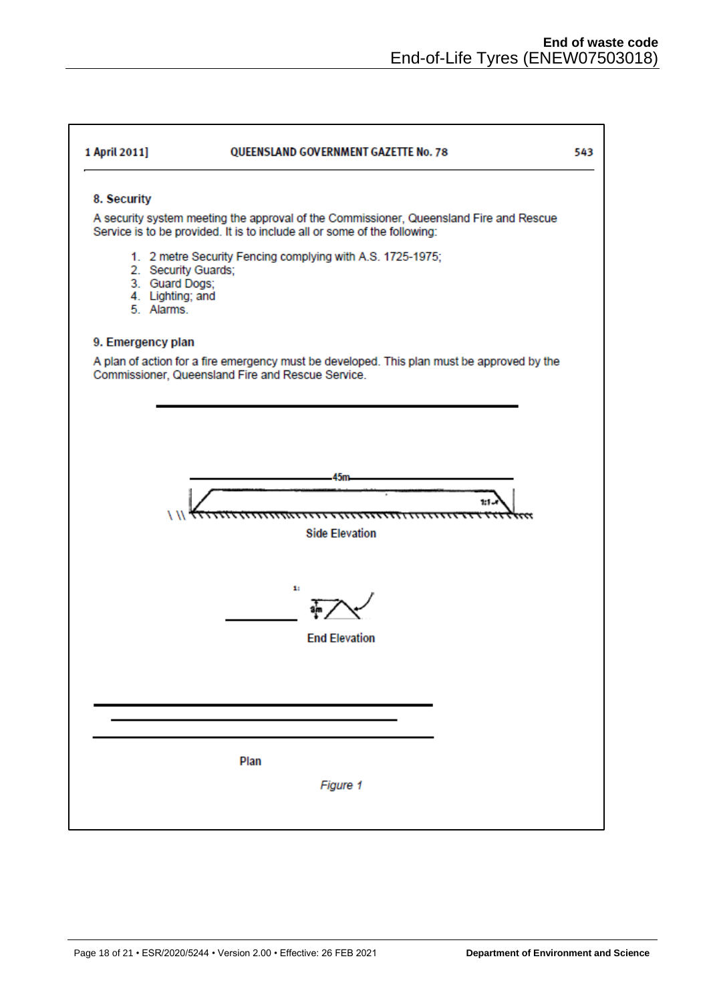٦

| 1 April 2011]                                                           | QUEENSLAND GOVERNMENT GAZETTE No. 78                                                                                                            | 543 |
|-------------------------------------------------------------------------|-------------------------------------------------------------------------------------------------------------------------------------------------|-----|
| 8. Security                                                             | A security system meeting the approval of the Commissioner, Queensland Fire and Rescue                                                          |     |
|                                                                         | Service is to be provided. It is to include all or some of the following:                                                                       |     |
| 2. Security Guards;<br>3. Guard Dogs;<br>4. Lighting; and<br>5. Alarms. | 1. 2 metre Security Fencing complying with A.S. 1725-1975;                                                                                      |     |
| 9. Emergency plan                                                       |                                                                                                                                                 |     |
|                                                                         | A plan of action for a fire emergency must be developed. This plan must be approved by the<br>Commissioner, Queensland Fire and Rescue Service. |     |
|                                                                         |                                                                                                                                                 |     |
|                                                                         |                                                                                                                                                 |     |
|                                                                         |                                                                                                                                                 |     |
|                                                                         | 45 <sub>m</sub>                                                                                                                                 |     |
|                                                                         | 1:1                                                                                                                                             |     |
|                                                                         | <del>,,,,,,,,,,,,,,,,,,,,,,,,,,,,,,,,</del><br><b>Side Elevation</b>                                                                            |     |
|                                                                         |                                                                                                                                                 |     |
|                                                                         | 1:                                                                                                                                              |     |
|                                                                         | <b>End Elevation</b>                                                                                                                            |     |
|                                                                         |                                                                                                                                                 |     |
|                                                                         |                                                                                                                                                 |     |
|                                                                         |                                                                                                                                                 |     |
|                                                                         |                                                                                                                                                 |     |
|                                                                         | Plan                                                                                                                                            |     |
|                                                                         |                                                                                                                                                 |     |
|                                                                         | Figure 1                                                                                                                                        |     |
|                                                                         |                                                                                                                                                 |     |

 $\Gamma$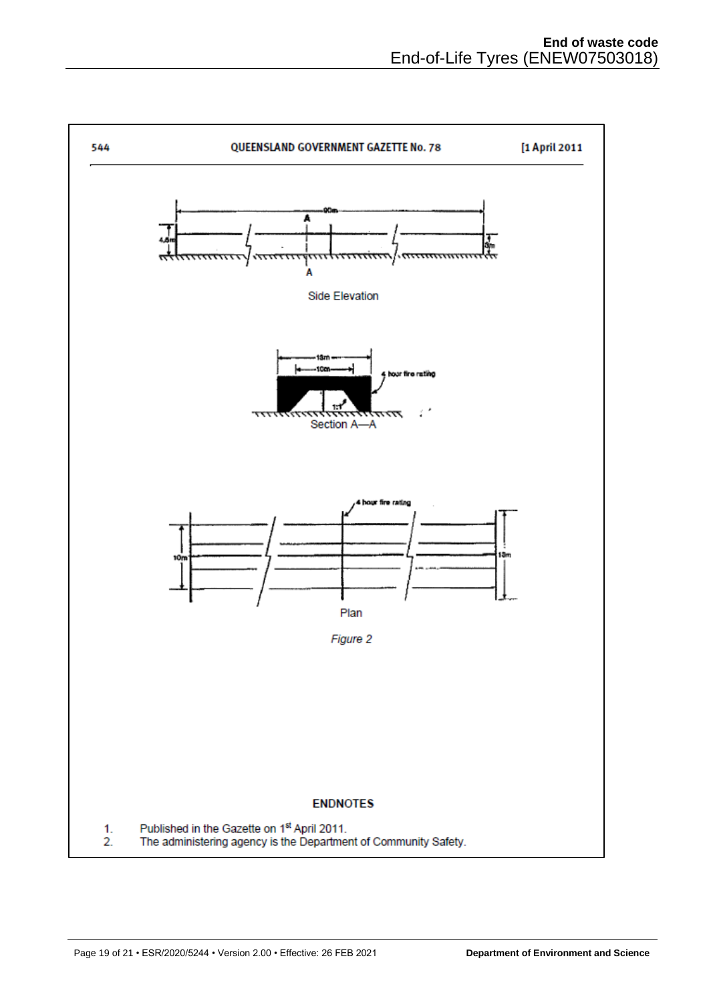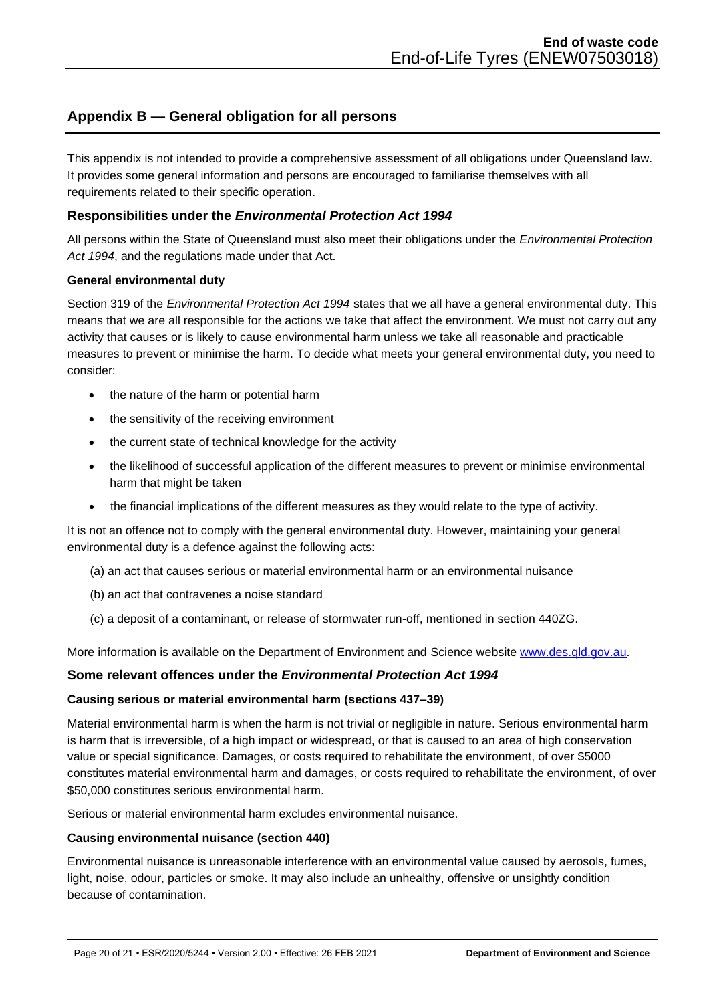# <span id="page-19-0"></span>**Appendix B — General obligation for all persons**

This appendix is not intended to provide a comprehensive assessment of all obligations under Queensland law. It provides some general information and persons are encouraged to familiarise themselves with all requirements related to their specific operation.

### **Responsibilities under the** *Environmental Protection Act 1994*

All persons within the State of Queensland must also meet their obligations under the *Environmental Protection Act 1994*, and the regulations made under that Act.

### **General environmental duty**

Section 319 of the *Environmental Protection Act 1994* states that we all have a general environmental duty. This means that we are all responsible for the actions we take that affect the environment. We must not carry out any activity that causes or is likely to cause environmental harm unless we take all reasonable and practicable measures to prevent or minimise the harm. To decide what meets your general environmental duty, you need to consider:

- the nature of the harm or potential harm
- the sensitivity of the receiving environment
- the current state of technical knowledge for the activity
- the likelihood of successful application of the different measures to prevent or minimise environmental harm that might be taken
- the financial implications of the different measures as they would relate to the type of activity.

It is not an offence not to comply with the general environmental duty. However, maintaining your general environmental duty is a defence against the following acts:

- (a) an act that causes serious or material environmental harm or an environmental nuisance
- (b) an act that contravenes a noise standard
- (c) a deposit of a contaminant, or release of stormwater run-off, mentioned in section 440ZG.

More information is available on the Department of Environment and Science website [www.des.qld.gov.au.](http://www.des.qld.gov.au/)

### **Some relevant offences under the** *Environmental Protection Act 1994*

### **Causing serious or material environmental harm (sections 437–39)**

Material environmental harm is when the harm is not trivial or negligible in nature. Serious environmental harm is harm that is irreversible, of a high impact or widespread, or that is caused to an area of high conservation value or special significance. Damages, or costs required to rehabilitate the environment, of over \$5000 constitutes material environmental harm and damages, or costs required to rehabilitate the environment, of over \$50,000 constitutes serious environmental harm.

Serious or material environmental harm excludes environmental nuisance.

### **Causing environmental nuisance (section 440)**

Environmental nuisance is unreasonable interference with an environmental value caused by aerosols, fumes, light, noise, odour, particles or smoke. It may also include an unhealthy, offensive or unsightly condition because of contamination.